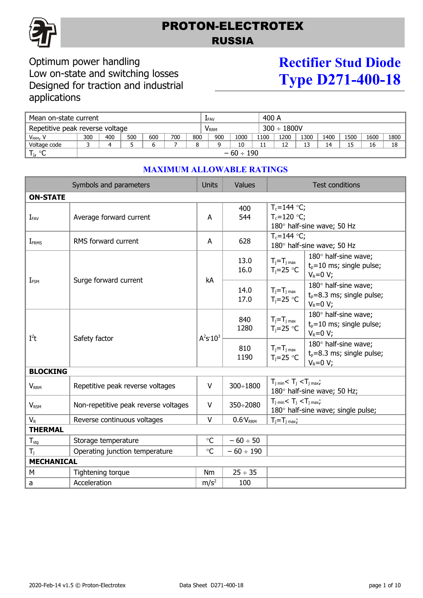

## PROTON-ELECTROTEX RUSSIA

### Optimum power handling Low on-state and switching losses Designed for traction and industrial applications

# **Rectifier Stud Diode Type D271-400-18**

| Mean on-state current           |                |     |     |     |                         |     | <b>LFAV</b>      |      |      | 400 A |      |      |      |      |      |
|---------------------------------|----------------|-----|-----|-----|-------------------------|-----|------------------|------|------|-------|------|------|------|------|------|
| Repetitive peak reverse voltage |                |     |     |     | <b>V</b> <sub>RRM</sub> |     | $300 \div 1800V$ |      |      |       |      |      |      |      |      |
| V <sub>RRM</sub> , V            | 300            | 400 | 500 | 600 | 700                     | 800 | 900              | 1000 | 1100 | 1200  | 1300 | 1400 | 1500 | 1600 | 1800 |
| Voltage code                    |                |     |     |     |                         |     |                  | 10   | 11   | ר 1   | 13   | 14   | 15   | 16   | 18   |
| $T_{j}$ , °C                    | $-60 \div 190$ |     |     |     |                         |     |                  |      |      |       |      |      |      |      |      |

| Symbols and parameters  |                                      |                  | Values               |                                                                                     | <b>Test conditions</b>                                                |  |  |  |  |
|-------------------------|--------------------------------------|------------------|----------------------|-------------------------------------------------------------------------------------|-----------------------------------------------------------------------|--|--|--|--|
| <b>ON-STATE</b>         |                                      |                  |                      |                                                                                     |                                                                       |  |  |  |  |
| $I_{FAV}$               | Average forward current              | A                | 400<br>544           | $T_c = 144$ °C;<br>$T_c = 120$ °C;                                                  | 180° half-sine wave; 50 Hz                                            |  |  |  |  |
| IFRMS                   | RMS forward current                  | A                | 628                  | $T_c = 144$ °C;<br>180° half-sine wave; 50 Hz                                       |                                                                       |  |  |  |  |
|                         | Surge forward current                | kA               | 13.0<br>16.0         | $T_j = T_j$ <sub>max</sub><br>$T_i = 25$ °C                                         | 180° half-sine wave;<br>$t0=10$ ms; single pulse;<br>$V_R = 0 V;$     |  |  |  |  |
| IFSM                    |                                      |                  | 14.0<br>17.0         | $T_j = T_j$ <sub>max</sub><br>$T_i = 25$ °C                                         | 180° half-sine wave;<br>$t_p = 8.3$ ms; single pulse;<br>$V_R = 0 V;$ |  |  |  |  |
| $I^2t$                  |                                      | $A^2S:10^3$      | 840<br>1280          | $T_j = T_j$ <sub>max</sub><br>$T_i = 25$ °C                                         | 180° half-sine wave;<br>$t_p = 10$ ms; single pulse;<br>$V_R = 0 V;$  |  |  |  |  |
|                         | Safety factor                        |                  | 810<br>1190          | $T_j = T_j$ <sub>max</sub><br>$T_i = 25$ °C                                         | 180° half-sine wave;<br>$t_p = 8.3$ ms; single pulse;<br>$V_R = 0 V;$ |  |  |  |  |
| <b>BLOCKING</b>         |                                      |                  |                      |                                                                                     |                                                                       |  |  |  |  |
| <b>V</b> <sub>RRM</sub> | Repetitive peak reverse voltages     |                  |                      | $T_{j \text{ min}} < T_j < T_{j \text{ max}}$<br>180° half-sine wave; 50 Hz;        |                                                                       |  |  |  |  |
| <b>V<sub>RSM</sub></b>  | Non-repetitive peak reverse voltages | V                | 350÷2080             | $T_{j \text{ min}} < T_j < T_{j \text{ max}}$<br>180° half-sine wave; single pulse; |                                                                       |  |  |  |  |
| $V_{R}$                 | Reverse continuous voltages          |                  | 0.6 V <sub>RRM</sub> | $T_j = T_j$ max;                                                                    |                                                                       |  |  |  |  |
| <b>THERMAL</b>          |                                      |                  |                      |                                                                                     |                                                                       |  |  |  |  |
| $T_{\text{stg}}$        | Storage temperature                  |                  | $-60 \div 50$        |                                                                                     |                                                                       |  |  |  |  |
| $T_i$                   | Operating junction temperature       |                  | $-60 \div 190$       |                                                                                     |                                                                       |  |  |  |  |
| <b>MECHANICAL</b>       |                                      |                  |                      |                                                                                     |                                                                       |  |  |  |  |
| М                       | Tightening torque                    |                  | $25 \div 35$         |                                                                                     |                                                                       |  |  |  |  |
| a                       | Acceleration                         | m/s <sup>2</sup> | 100                  |                                                                                     |                                                                       |  |  |  |  |

#### **MAXIMUM ALLOWABLE RATINGS**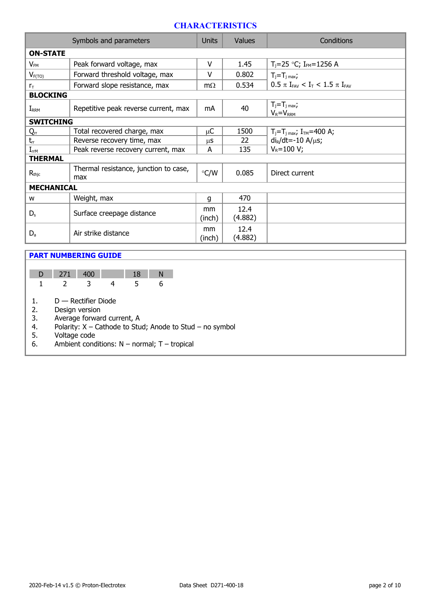#### **CHARACTERISTICS**

| Symbols and parameters |                                              |               | Values          | Conditions                                                               |  |  |  |
|------------------------|----------------------------------------------|---------------|-----------------|--------------------------------------------------------------------------|--|--|--|
| <b>ON-STATE</b>        |                                              |               |                 |                                                                          |  |  |  |
| $V_{FM}$               | Peak forward voltage, max                    | v             | 1.45            | $T_i=25$ °C; I <sub>FM</sub> =1256 A                                     |  |  |  |
| $V_{F(TO)}$            | Forward threshold voltage, max               | v             | 0.802           | $T_i = T_j$ max,                                                         |  |  |  |
| $r_{\rm T}$            | Forward slope resistance, max                | $m\Omega$     | 0.534           | $0.5 \pi$ I <sub>FAV</sub> < I <sub>T</sub> < 1.5 $\pi$ I <sub>FAV</sub> |  |  |  |
| <b>BLOCKING</b>        |                                              |               |                 |                                                                          |  |  |  |
| $I_{RRM}$              | Repetitive peak reverse current, max         | mA            | 40              | $T_i = T_j$ max;<br>$V_R = V_{RRM}$                                      |  |  |  |
| <b>SWITCHING</b>       |                                              |               |                 |                                                                          |  |  |  |
| $Q_{rr}$               | Total recovered charge, max                  | μC            | 1500            | $T_i = T_i$ <sub>max</sub> ; $I_{TM} = 400$ A;                           |  |  |  |
| $t_{rr}$               | Reverse recovery time, max                   | μS            | 22              | $di_R/dt = -10 A/\mu s$ ;                                                |  |  |  |
| $I_{rrM}$              | Peak reverse recovery current, max           | А             | 135             | $V_R = 100 V;$                                                           |  |  |  |
| <b>THERMAL</b>         |                                              |               |                 |                                                                          |  |  |  |
| $R_{\text{thic}}$      | Thermal resistance, junction to case,<br>max | $\degree$ C/W | 0.085           | Direct current                                                           |  |  |  |
| <b>MECHANICAL</b>      |                                              |               |                 |                                                                          |  |  |  |
| W                      | Weight, max                                  | g             | 470             |                                                                          |  |  |  |
| $D_{s}$                | Surface creepage distance                    | mm<br>(inch)  | 12.4<br>(4.882) |                                                                          |  |  |  |
| $D_{a}$                | Air strike distance                          | mm<br>(inch)  | 12.4<br>(4.882) |                                                                          |  |  |  |

#### **PART NUMBERING GUIDE**

| D  | 271                                  | 400 |  | 18 |  |  |  |  |  |
|----|--------------------------------------|-----|--|----|--|--|--|--|--|
|    | $\mathcal{L}$                        |     |  | 5  |  |  |  |  |  |
|    |                                      |     |  |    |  |  |  |  |  |
| 1. | $D$ — Rectifier Diode                |     |  |    |  |  |  |  |  |
| 2. | Design version                       |     |  |    |  |  |  |  |  |
| 3. | Average forward current, A           |     |  |    |  |  |  |  |  |
|    | Polarity: X - Cathode to Stud; Anode |     |  |    |  |  |  |  |  |

1; Anode to Stud – no symbol

 $5.$  Voltage code

6. Ambient conditions:  $N -$  normal;  $T -$  tropical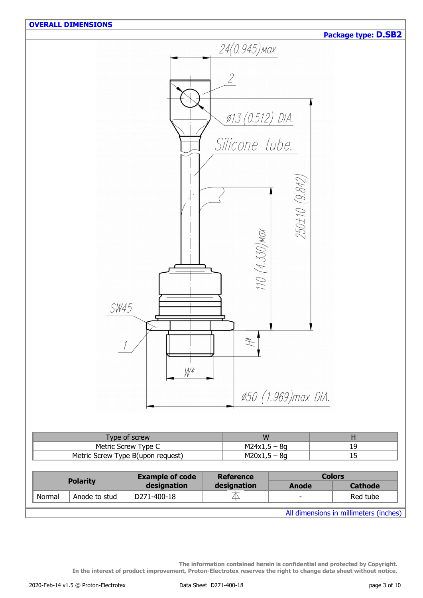|        | <b>OVERALL DIMENSIONS</b>                                |                                       |                  |                     |                      |                                        |
|--------|----------------------------------------------------------|---------------------------------------|------------------|---------------------|----------------------|----------------------------------------|
|        |                                                          |                                       |                  |                     |                      | Package type: D.SB2                    |
|        |                                                          |                                       |                  | 24(0.945) мах       |                      |                                        |
|        |                                                          |                                       |                  |                     |                      |                                        |
|        |                                                          |                                       |                  |                     |                      |                                        |
|        |                                                          |                                       | $\sqrt{2}$       |                     |                      |                                        |
|        |                                                          |                                       |                  |                     |                      |                                        |
|        |                                                          |                                       |                  |                     |                      |                                        |
|        |                                                          |                                       |                  |                     |                      |                                        |
|        |                                                          |                                       |                  | Ø13 (0.512) DIA.    |                      |                                        |
|        |                                                          |                                       |                  |                     |                      |                                        |
|        |                                                          |                                       |                  | Silicone tube.      |                      |                                        |
|        |                                                          |                                       |                  |                     |                      |                                        |
|        |                                                          |                                       |                  |                     |                      |                                        |
|        |                                                          |                                       |                  |                     |                      |                                        |
|        |                                                          |                                       |                  |                     |                      |                                        |
|        |                                                          |                                       |                  |                     |                      |                                        |
|        |                                                          |                                       |                  |                     |                      |                                        |
|        |                                                          |                                       |                  |                     | 250±10 (9.842)       |                                        |
|        |                                                          |                                       |                  |                     |                      |                                        |
|        |                                                          |                                       |                  |                     |                      |                                        |
|        |                                                          |                                       |                  |                     |                      |                                        |
|        |                                                          |                                       |                  |                     |                      |                                        |
|        |                                                          |                                       |                  |                     |                      |                                        |
|        |                                                          |                                       |                  |                     |                      |                                        |
|        |                                                          |                                       |                  | $110 (4.330)$ MOX   |                      |                                        |
|        |                                                          |                                       |                  |                     |                      |                                        |
|        | SW45                                                     |                                       |                  |                     |                      |                                        |
|        |                                                          |                                       |                  |                     |                      |                                        |
|        |                                                          |                                       |                  |                     |                      |                                        |
|        |                                                          |                                       |                  |                     |                      |                                        |
|        |                                                          |                                       |                  | #                   |                      |                                        |
|        |                                                          |                                       |                  |                     |                      |                                        |
|        |                                                          |                                       |                  |                     |                      |                                        |
|        |                                                          | $W^*$                                 |                  |                     |                      |                                        |
|        |                                                          |                                       |                  |                     |                      |                                        |
|        |                                                          |                                       |                  |                     | Ø50 (1.969) max DIA. |                                        |
|        |                                                          |                                       |                  |                     |                      |                                        |
|        |                                                          |                                       |                  |                     |                      |                                        |
|        |                                                          |                                       |                  |                     |                      |                                        |
|        | Type of screw                                            |                                       |                  | W<br>$M24x1,5 - 8g$ |                      | $\mathsf{H}$                           |
|        | Metric Screw Type C<br>Metric Screw Type B(upon request) |                                       |                  |                     |                      | 19                                     |
|        |                                                          |                                       |                  | $M20x1,5 - 8g$      |                      | 15                                     |
|        |                                                          |                                       |                  |                     |                      |                                        |
|        | <b>Polarity</b>                                          | <b>Example of code</b><br>designation | <b>Reference</b> |                     |                      | <b>Colors</b>                          |
|        |                                                          |                                       | designation<br>本 |                     | <b>Anode</b>         | <b>Cathode</b>                         |
| Normal | Anode to stud                                            | D271-400-18                           |                  |                     |                      | Red tube                               |
|        |                                                          |                                       |                  |                     |                      | All dimensions in millimeters (inches) |

**The information contained herein is confidential and protected by Copyright. In the interest of product improvement, Proton-Electrotex reserves the right to change data sheet without notice.**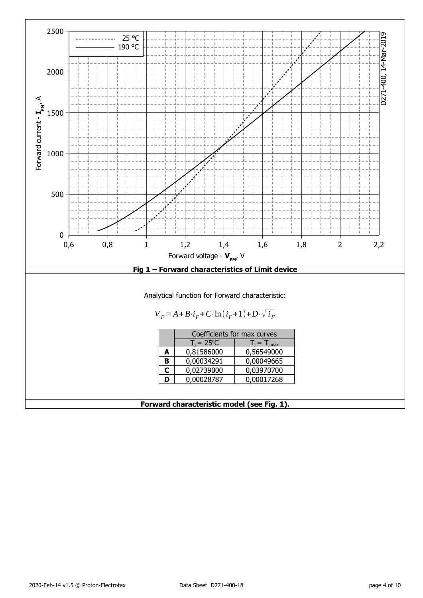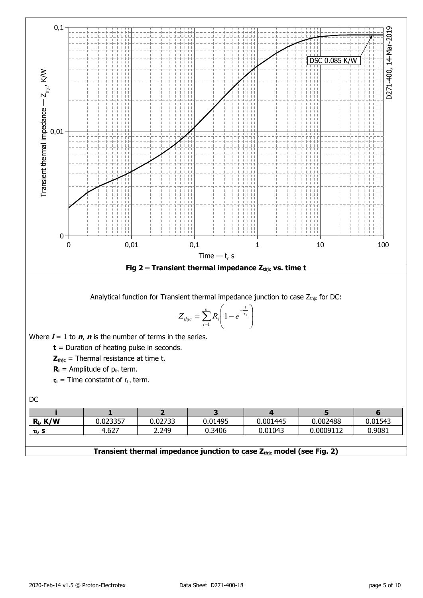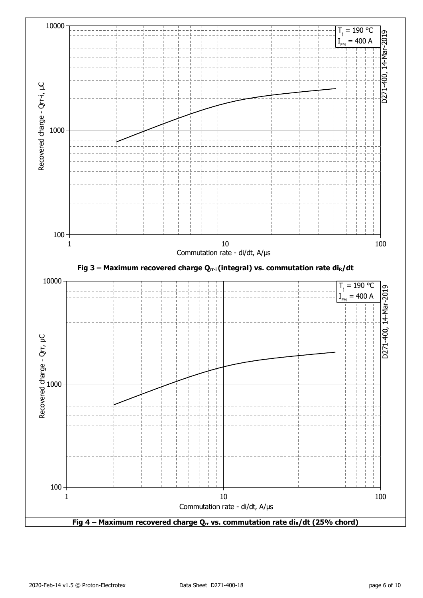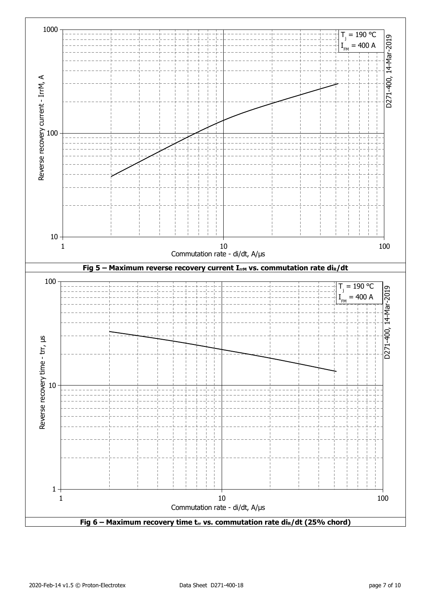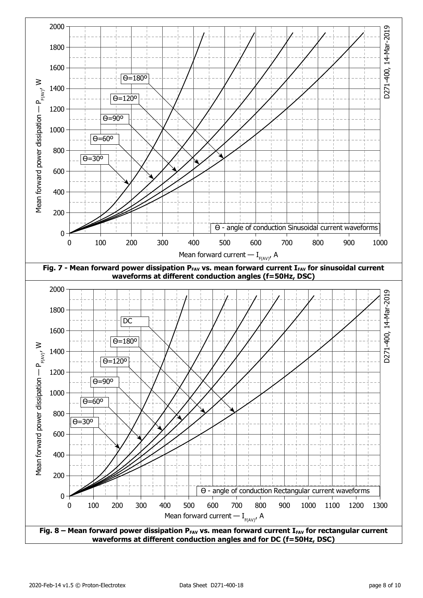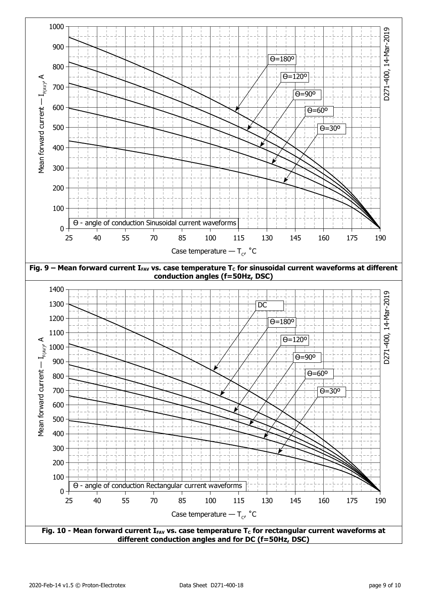